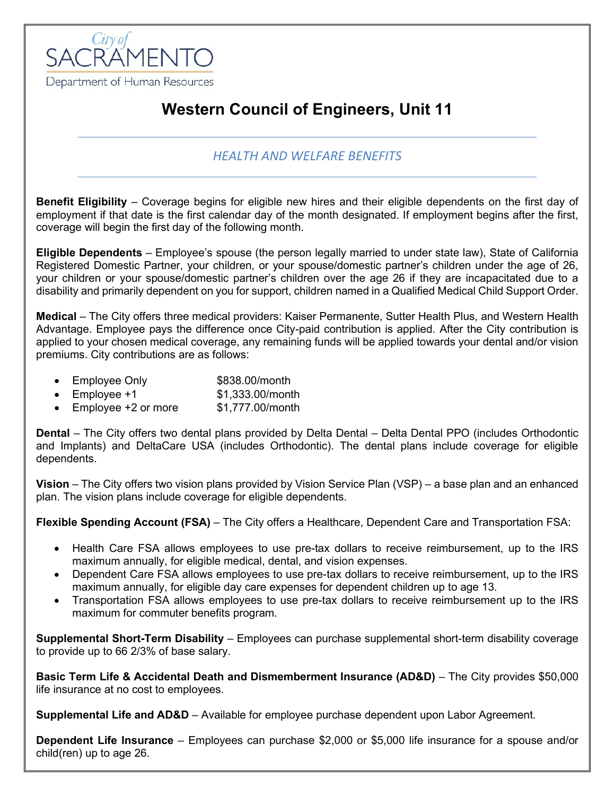

# **Western Council of Engineers, Unit 11**

#### *HEALTH AND WELFARE BENEFITS*

**Benefit Eligibility** – Coverage begins for eligible new hires and their eligible dependents on the first day of employment if that date is the first calendar day of the month designated. If employment begins after the first, coverage will begin the first day of the following month.

**Eligible Dependents** – Employee's spouse (the person legally married to under state law), State of California Registered Domestic Partner, your children, or your spouse/domestic partner's children under the age of 26, your children or your spouse/domestic partner's children over the age 26 if they are incapacitated due to a disability and primarily dependent on you for support, children named in a Qualified Medical Child Support Order.

**Medical** – The City offers three medical providers: Kaiser Permanente, Sutter Health Plus, and Western Health Advantage. Employee pays the difference once City-paid contribution is applied. After the City contribution is applied to your chosen medical coverage, any remaining funds will be applied towards your dental and/or vision premiums. City contributions are as follows:

- Employee Only \$838.00/month
- Employee  $+1$  \$1,333,00/month
- Employee +2 or more \$1,777.00/month

**Dental** – The City offers two dental plans provided by Delta Dental – Delta Dental PPO (includes Orthodontic and Implants) and DeltaCare USA (includes Orthodontic). The dental plans include coverage for eligible dependents.

**Vision** – The City offers two vision plans provided by Vision Service Plan (VSP) – a base plan and an enhanced plan. The vision plans include coverage for eligible dependents.

**Flexible Spending Account (FSA)** – The City offers a Healthcare, Dependent Care and Transportation FSA:

- Health Care FSA allows employees to use pre-tax dollars to receive reimbursement, up to the IRS maximum annually, for eligible medical, dental, and vision expenses.
- Dependent Care FSA allows employees to use pre-tax dollars to receive reimbursement, up to the IRS maximum annually, for eligible day care expenses for dependent children up to age 13.
- Transportation FSA allows employees to use pre-tax dollars to receive reimbursement up to the IRS maximum for commuter benefits program.

**Supplemental Short-Term Disability** – Employees can purchase supplemental short-term disability coverage to provide up to 66 2/3% of base salary.

**Basic Term Life & Accidental Death and Dismemberment Insurance (AD&D)** – The City provides \$50,000 life insurance at no cost to employees.

**Supplemental Life and AD&D** – Available for employee purchase dependent upon Labor Agreement.

**Dependent Life Insurance** – Employees can purchase \$2,000 or \$5,000 life insurance for a spouse and/or child(ren) up to age 26.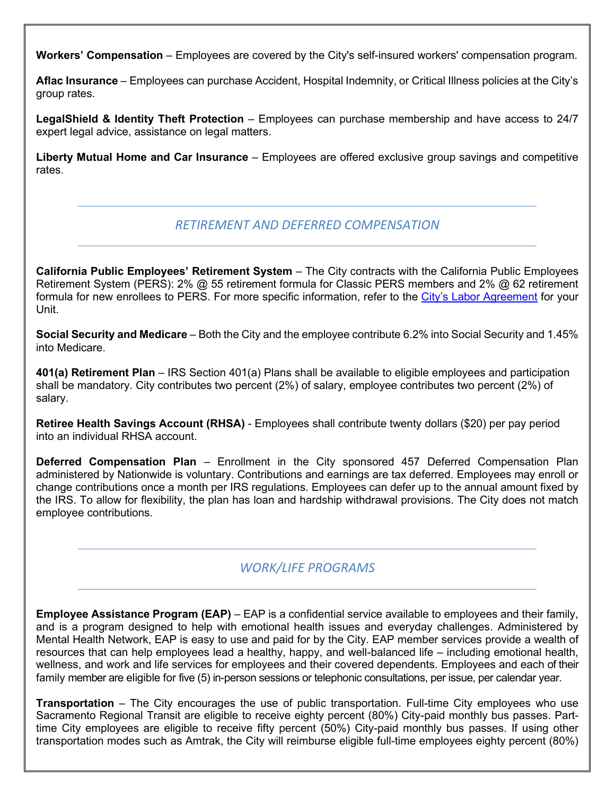**Workers' Compensation** – Employees are covered by the City's self-insured workers' compensation program.

**Aflac Insurance** – Employees can purchase Accident, Hospital Indemnity, or Critical Illness policies at the City's group rates.

**LegalShield & Identity Theft Protection** – Employees can purchase membership and have access to 24/7 expert legal advice, assistance on legal matters.

**Liberty Mutual Home and Car Insurance** – Employees are offered exclusive group savings and competitive rates.

## *RETIREMENT AND DEFERRED COMPENSATION*

**California Public Employees' Retirement System** – The City contracts with the California Public Employees Retirement System (PERS): 2% @ 55 retirement formula for Classic PERS members and 2% @ 62 retirement formula for new enrollees to PERS. For more specific information, refer to the [City's Labor Agreement](http://www.cityofsacramento.org/HR/Divisions/Labor-Relations/Labor-Agreements) for your Unit.

**Social Security and Medicare** – Both the City and the employee contribute 6.2% into Social Security and 1.45% into Medicare.

**401(a) Retirement Plan** – IRS Section 401(a) Plans shall be available to eligible employees and participation shall be mandatory. City contributes two percent (2%) of salary, employee contributes two percent (2%) of salary.

**Retiree Health Savings Account (RHSA)** - Employees shall contribute twenty dollars (\$20) per pay period into an individual RHSA account.

**Deferred Compensation Plan** – Enrollment in the City sponsored 457 Deferred Compensation Plan administered by Nationwide is voluntary. Contributions and earnings are tax deferred. Employees may enroll or change contributions once a month per IRS regulations. Employees can defer up to the annual amount fixed by the IRS. To allow for flexibility, the plan has loan and hardship withdrawal provisions. The City does not match employee contributions.

## *WORK/LIFE PROGRAMS*

**Employee Assistance Program (EAP)** – EAP is a confidential service available to employees and their family, and is a program designed to help with emotional health issues and everyday challenges. Administered by Mental Health Network, EAP is easy to use and paid for by the City. EAP member services provide a wealth of resources that can help employees lead a healthy, happy, and well-balanced life – including emotional health, wellness, and work and life services for employees and their covered dependents. Employees and each of their family member are eligible for five (5) in-person sessions or telephonic consultations, per issue, per calendar year.

**Transportation** – The City encourages the use of public transportation. Full-time City employees who use Sacramento Regional Transit are eligible to receive eighty percent (80%) City-paid monthly bus passes. Parttime City employees are eligible to receive fifty percent (50%) City-paid monthly bus passes. If using other transportation modes such as Amtrak, the City will reimburse eligible full-time employees eighty percent (80%)